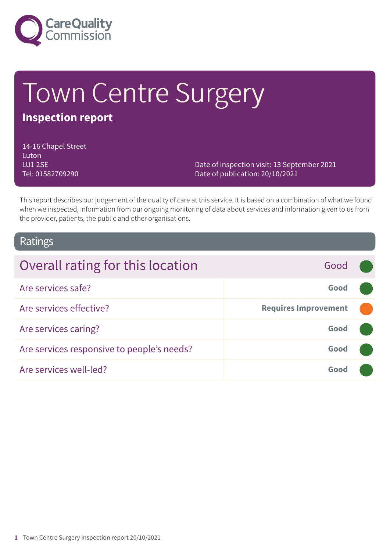

# Town Centre Surgery

# **Inspection report**

14-16 Chapel Street Luton LU1 2SE Tel: 01582709290

Date of inspection visit: 13 September 2021 Date of publication: 20/10/2021

This report describes our judgement of the quality of care at this service. It is based on a combination of what we found when we inspected, information from our ongoing monitoring of data about services and information given to us from the provider, patients, the public and other organisations.

# Ratings

| Overall rating for this location           | Good                        |  |
|--------------------------------------------|-----------------------------|--|
| Are services safe?                         | Good                        |  |
| Are services effective?                    | <b>Requires Improvement</b> |  |
| Are services caring?                       | Good                        |  |
| Are services responsive to people's needs? | Good                        |  |
| Are services well-led?                     | Good                        |  |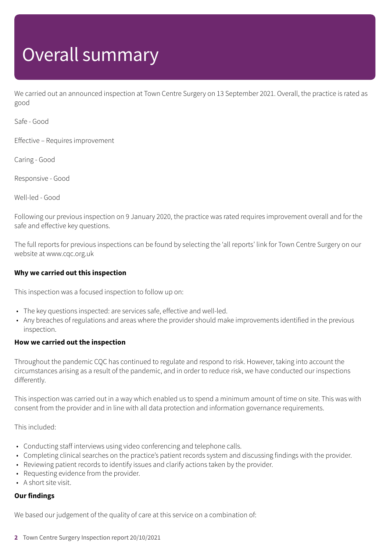# Overall summary

We carried out an announced inspection at Town Centre Surgery on 13 September 2021. Overall, the practice is rated as good

Safe - Good

Effective – Requires improvement

Caring - Good

Responsive - Good

Well-led - Good

Following our previous inspection on 9 January 2020, the practice was rated requires improvement overall and for the safe and effective key questions.

The full reports for previous inspections can be found by selecting the 'all reports' link for Town Centre Surgery on our website at www.cqc.org.uk

### **Why we carried out this inspection**

This inspection was a focused inspection to follow up on:

- The key questions inspected: are services safe, effective and well-led.
- Any breaches of regulations and areas where the provider should make improvements identified in the previous inspection.

### **How we carried out the inspection**

Throughout the pandemic CQC has continued to regulate and respond to risk. However, taking into account the circumstances arising as a result of the pandemic, and in order to reduce risk, we have conducted our inspections differently.

This inspection was carried out in a way which enabled us to spend a minimum amount of time on site. This was with consent from the provider and in line with all data protection and information governance requirements.

This included:

- Conducting staff interviews using video conferencing and telephone calls.
- Completing clinical searches on the practice's patient records system and discussing findings with the provider.
- Reviewing patient records to identify issues and clarify actions taken by the provider.
- Requesting evidence from the provider.
- A short site visit.

### **Our findings**

We based our judgement of the quality of care at this service on a combination of:

**2** Town Centre Surgery Inspection report 20/10/2021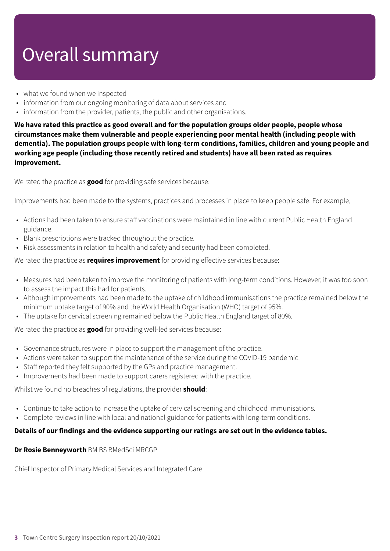# Overall summary

- what we found when we inspected
- information from our ongoing monitoring of data about services and
- information from the provider, patients, the public and other organisations.

**We have rated this practice as good overall and for the population groups older people, people whose circumstances make them vulnerable and people experiencing poor mental health (including people with dementia). The population groups people with long-term conditions, families, children and young people and working age people (including those recently retired and students) have all been rated as requires improvement.**

We rated the practice as **good** for providing safe services because:

Improvements had been made to the systems, practices and processes in place to keep people safe. For example,

- Actions had been taken to ensure staff vaccinations were maintained in line with current Public Health England guidance.
- Blank prescriptions were tracked throughout the practice.
- Risk assessments in relation to health and safety and security had been completed.

We rated the practice as **requires improvement** for providing effective services because:

- Measures had been taken to improve the monitoring of patients with long-term conditions. However, it was too soon to assess the impact this had for patients.
- Although improvements had been made to the uptake of childhood immunisations the practice remained below the minimum uptake target of 90% and the World Health Organisation (WHO) target of 95%.
- The uptake for cervical screening remained below the Public Health England target of 80%.

We rated the practice as **good** for providing well-led services because:

- Governance structures were in place to support the management of the practice.
- Actions were taken to support the maintenance of the service during the COVID-19 pandemic.
- Staff reported they felt supported by the GPs and practice management.
- Improvements had been made to support carers registered with the practice.

Whilst we found no breaches of regulations, the provider **should**:

- Continue to take action to increase the uptake of cervical screening and childhood immunisations.
- Complete reviews in line with local and national guidance for patients with long-term conditions.

### **Details of our findings and the evidence supporting our ratings are set out in the evidence tables.**

#### **Dr Rosie Benneyworth** BM BS BMedSci MRCGP

Chief Inspector of Primary Medical Services and Integrated Care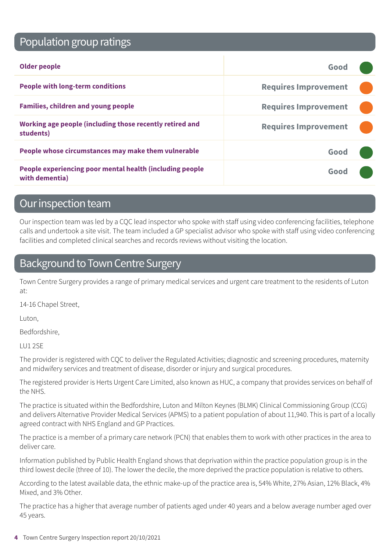# Population group ratings

| Older people                                                               | Good                        |  |
|----------------------------------------------------------------------------|-----------------------------|--|
| <b>People with long-term conditions</b>                                    | <b>Requires Improvement</b> |  |
| <b>Families, children and young people</b>                                 | <b>Requires Improvement</b> |  |
| Working age people (including those recently retired and<br>students)      | <b>Requires Improvement</b> |  |
| People whose circumstances may make them vulnerable                        | Good                        |  |
| People experiencing poor mental health (including people<br>with dementia) | Good                        |  |

# Our inspection team

Our inspection team was led by a CQC lead inspector who spoke with staff using video conferencing facilities, telephone calls and undertook a site visit. The team included a GP specialist advisor who spoke with staff using video conferencing facilities and completed clinical searches and records reviews without visiting the location.

# Background to Town Centre Surgery

Town Centre Surgery provides a range of primary medical services and urgent care treatment to the residents of Luton at:

14-16 Chapel Street,

Luton,

Bedfordshire,

LU1 2SE

The provider is registered with CQC to deliver the Regulated Activities; diagnostic and screening procedures, maternity and midwifery services and treatment of disease, disorder or injury and surgical procedures.

The registered provider is Herts Urgent Care Limited, also known as HUC, a company that provides services on behalf of the NHS.

The practice is situated within the Bedfordshire, Luton and Milton Keynes (BLMK) Clinical Commissioning Group (CCG) and delivers Alternative Provider Medical Services (APMS) to a patient population of about 11,940. This is part of a locally agreed contract with NHS England and GP Practices.

The practice is a member of a primary care network (PCN) that enables them to work with other practices in the area to deliver care.

Information published by Public Health England shows that deprivation within the practice population group is in the third lowest decile (three of 10). The lower the decile, the more deprived the practice population is relative to others.

According to the latest available data, the ethnic make-up of the practice area is, 54% White, 27% Asian, 12% Black, 4% Mixed, and 3% Other.

The practice has a higher that average number of patients aged under 40 years and a below average number aged over 45 years.